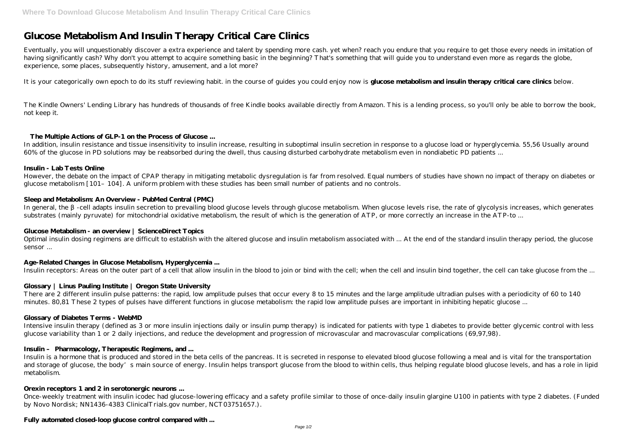# **Glucose Metabolism And Insulin Therapy Critical Care Clinics**

Eventually, you will unquestionably discover a extra experience and talent by spending more cash. yet when? reach you endure that you require to get those every needs in imitation of having significantly cash? Why don't you attempt to acquire something basic in the beginning? That's something that will guide you to understand even more as regards the globe, experience, some places, subsequently history, amusement, and a lot more?

It is your categorically own epoch to do its stuff reviewing habit. in the course of guides you could enjoy now is **glucose metabolism and insulin therapy critical care clinics** below.

The Kindle Owners' Lending Library has hundreds of thousands of free Kindle books available directly from Amazon. This is a lending process, so you'll only be able to borrow the book, not keep it.

# **The Multiple Actions of GLP-1 on the Process of Glucose ...**

In general, the -cell adapts insulin secretion to prevailing blood glucose levels through glucose metabolism. When glucose levels rise, the rate of glycolysis increases, which generates substrates (mainly pyruvate) for mitochondrial oxidative metabolism, the result of which is the generation of ATP, or more correctly an increase in the ATP-to ...

In addition, insulin resistance and tissue insensitivity to insulin increase, resulting in suboptimal insulin secretion in response to a glucose load or hyperglycemia. 55,56 Usually around 60% of the glucose in PD solutions may be reabsorbed during the dwell, thus causing disturbed carbohydrate metabolism even in nondiabetic PD patients ...

# **Insulin - Lab Tests Online**

However, the debate on the impact of CPAP therapy in mitigating metabolic dysregulation is far from resolved. Equal numbers of studies have shown no impact of therapy on diabetes or glucose metabolism [101–104]. A uniform problem with these studies has been small number of patients and no controls.

# **Sleep and Metabolism: An Overview - PubMed Central (PMC)**

# **Glucose Metabolism - an overview | ScienceDirect Topics**

Optimal insulin dosing regimens are difficult to establish with the altered glucose and insulin metabolism associated with ... At the end of the standard insulin therapy period, the glucose sensor ...

# **Age-Related Changes in Glucose Metabolism, Hyperglycemia ...**

Insulin receptors: Areas on the outer part of a cell that allow insulin in the blood to join or bind with the cell; when the cell and insulin bind together, the cell can take glucose from the ...

# **Glossary | Linus Pauling Institute | Oregon State University**

There are 2 different insulin pulse patterns: the rapid, low amplitude pulses that occur every 8 to 15 minutes and the large amplitude ultradian pulses with a periodicity of 60 to 140 minutes. 80,81 These 2 types of pulses have different functions in glucose metabolism: the rapid low amplitude pulses are important in inhibiting hepatic glucose ...

# **Glossary of Diabetes Terms - WebMD**

Intensive insulin therapy (defined as 3 or more insulin injections daily or insulin pump therapy) is indicated for patients with type 1 diabetes to provide better glycemic control with less glucose variability than 1 or 2 daily injections, and reduce the development and progression of microvascular and macrovascular complications (69,97,98).

# **Insulin – Pharmacology, Therapeutic Regimens, and ...**

Insulin is a hormone that is produced and stored in the beta cells of the pancreas. It is secreted in response to elevated blood glucose following a meal and is vital for the transportation and storage of glucose, the body's main source of energy. Insulin helps transport glucose from the blood to within cells, thus helping regulate blood glucose levels, and has a role in lipid metabolism.

# **Orexin receptors 1 and 2 in serotonergic neurons ...**

Once-weekly treatment with insulin icodec had glucose-lowering efficacy and a safety profile similar to those of once-daily insulin glargine U100 in patients with type 2 diabetes. (Funded by Novo Nordisk; NN1436-4383 ClinicalTrials.gov number, NCT03751657.).

# **Fully automated closed-loop glucose control compared with ...**